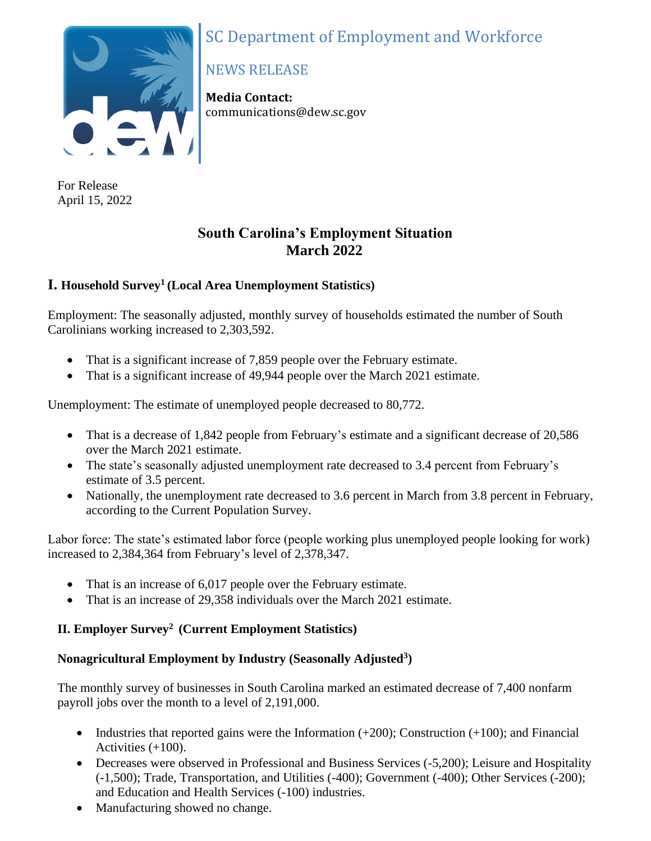# SC Department of Employment and Workforce



For Release April 15, 2022

# NEWS RELEASE

**Media Contact:** communications@dew.sc.gov

# **South Carolina's Employment Situation March 2022**

# **I. Household Survey<sup>1</sup> (Local Area Unemployment Statistics)**

Employment: The seasonally adjusted, monthly survey of households estimated the number of South Carolinians working increased to 2,303,592.

- That is a significant increase of 7,859 people over the February estimate.
- That is a significant increase of 49,944 people over the March 2021 estimate.

Unemployment: The estimate of unemployed people decreased to 80,772.

- That is a decrease of 1,842 people from February's estimate and a significant decrease of 20,586 over the March 2021 estimate.
- The state's seasonally adjusted unemployment rate decreased to 3.4 percent from February's estimate of 3.5 percent.
- Nationally, the unemployment rate decreased to 3.6 percent in March from 3.8 percent in February, according to the Current Population Survey.

Labor force: The state's estimated labor force (people working plus unemployed people looking for work) increased to 2,384,364 from February's level of 2,378,347.

- That is an increase of 6,017 people over the February estimate.
- That is an increase of 29,358 individuals over the March 2021 estimate.

## **II. Employer Survey<sup>2</sup>(Current Employment Statistics)**

## **Nonagricultural Employment by Industry (Seasonally Adjusted<sup>3</sup> )**

The monthly survey of businesses in South Carolina marked an estimated decrease of 7,400 nonfarm payroll jobs over the month to a level of 2,191,000.

- Industries that reported gains were the Information  $(+200)$ ; Construction  $(+100)$ ; and Financial Activities (+100).
- Decreases were observed in Professional and Business Services (-5,200); Leisure and Hospitality (-1,500); Trade, Transportation, and Utilities (-400); Government (-400); Other Services (-200); and Education and Health Services (-100) industries.
- Manufacturing showed no change.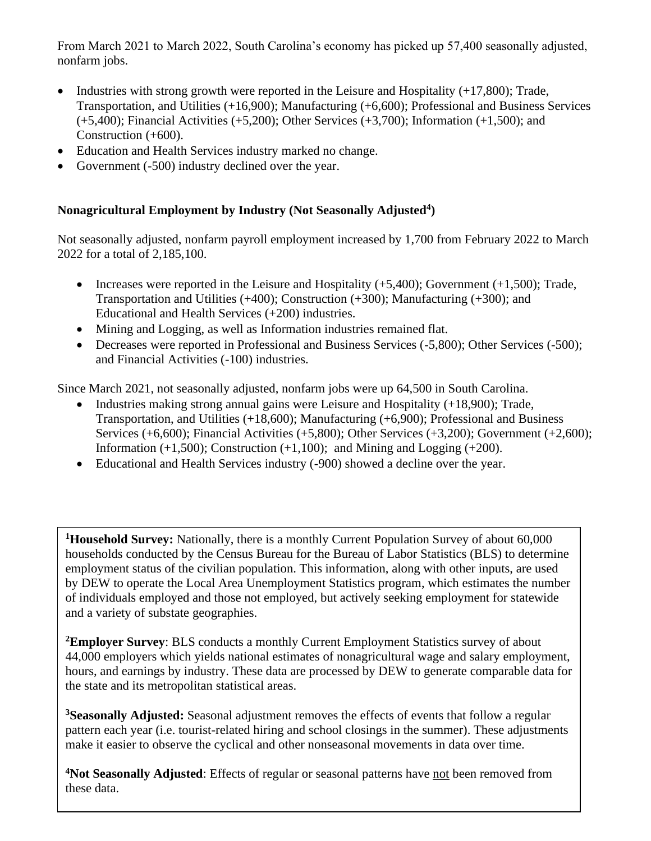From March 2021 to March 2022, South Carolina's economy has picked up 57,400 seasonally adjusted, nonfarm jobs.

- Industries with strong growth were reported in the Leisure and Hospitality (+17,800); Trade, Transportation, and Utilities (+16,900); Manufacturing (+6,600); Professional and Business Services  $(+5,400)$ ; Financial Activities  $(+5,200)$ ; Other Services  $(+3,700)$ ; Information  $(+1,500)$ ; and Construction (+600).
- Education and Health Services industry marked no change.
- Government (-500) industry declined over the year.

## **Nonagricultural Employment by Industry (Not Seasonally Adjusted<sup>4</sup> )**

Not seasonally adjusted, nonfarm payroll employment increased by 1,700 from February 2022 to March 2022 for a total of 2,185,100.

- Increases were reported in the Leisure and Hospitality  $(+5,400)$ ; Government  $(+1,500)$ ; Trade, Transportation and Utilities (+400); Construction (+300); Manufacturing (+300); and Educational and Health Services (+200) industries.
- Mining and Logging, as well as Information industries remained flat.
- Decreases were reported in Professional and Business Services (-5,800); Other Services (-500); and Financial Activities (-100) industries.

Since March 2021, not seasonally adjusted, nonfarm jobs were up 64,500 in South Carolina.

- Industries making strong annual gains were Leisure and Hospitality (+18,900); Trade, Transportation, and Utilities (+18,600); Manufacturing (+6,900); Professional and Business Services (+6,600); Financial Activities (+5,800); Other Services (+3,200); Government (+2,600); Information  $(+1,500)$ ; Construction  $(+1,100)$ ; and Mining and Logging  $(+200)$ .
- Educational and Health Services industry (-900) showed a decline over the year.

**<sup>1</sup>Household Survey:** Nationally, there is a monthly Current Population Survey of about 60,000 households conducted by the Census Bureau for the Bureau of Labor Statistics (BLS) to determine employment status of the civilian population. This information, along with other inputs, are used by DEW to operate the Local Area Unemployment Statistics program, which estimates the number of individuals employed and those not employed, but actively seeking employment for statewide and a variety of substate geographies.

**<sup>2</sup>Employer Survey**: BLS conducts a monthly Current Employment Statistics survey of about 44,000 employers which yields national estimates of nonagricultural wage and salary employment, hours, and earnings by industry. These data are processed by DEW to generate comparable data for the state and its metropolitan statistical areas.

**<sup>3</sup>Seasonally Adjusted:** Seasonal adjustment removes the effects of events that follow a regular pattern each year (i.e. tourist-related hiring and school closings in the summer). These adjustments make it easier to observe the cyclical and other nonseasonal movements in data over time.

**<sup>4</sup>Not Seasonally Adjusted**: Effects of regular or seasonal patterns have not been removed from these data.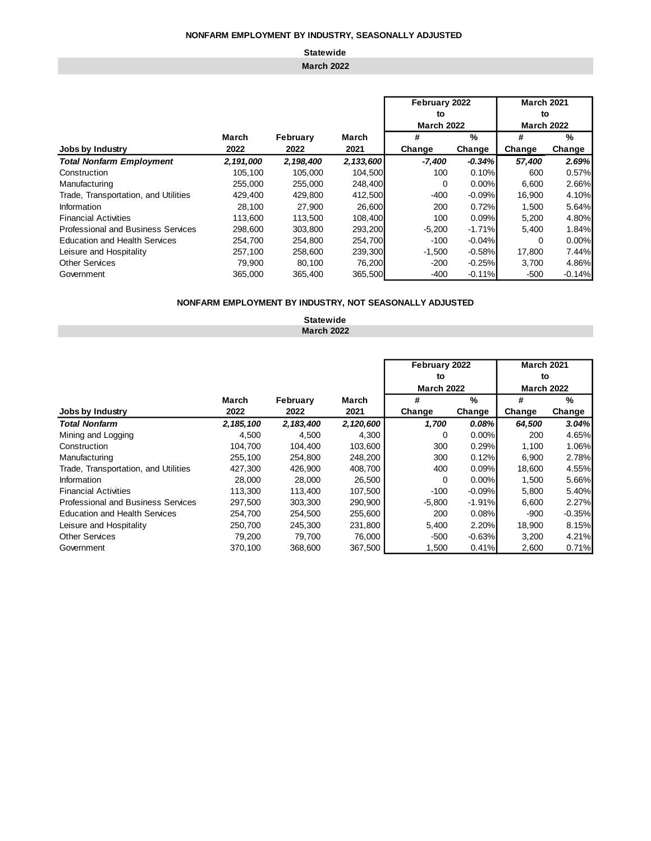# **Statewide**

### **March 2022**

|                                           |           |           |           | February 2022     |          | <b>March 2021</b> |          |  |
|-------------------------------------------|-----------|-----------|-----------|-------------------|----------|-------------------|----------|--|
|                                           |           |           |           | to                |          | to                |          |  |
|                                           |           |           |           | <b>March 2022</b> |          | <b>March 2022</b> |          |  |
|                                           | March     | February  | March     | #                 | $\%$     | #                 | %        |  |
| Jobs by Industry                          | 2022      | 2022      | 2021      | Change            | Change   | Change            | Change   |  |
| <b>Total Nonfarm Employment</b>           | 2,191,000 | 2,198,400 | 2,133,600 | -7,400            | $-0.34%$ | 57,400            | 2.69%    |  |
| Construction                              | 105.100   | 105.000   | 104.500   | 100               | 0.10%    | 600               | 0.57%    |  |
| Manufacturing                             | 255,000   | 255,000   | 248,400   | 0                 | 0.00%    | 6,600             | 2.66%    |  |
| Trade, Transportation, and Utilities      | 429,400   | 429,800   | 412,500   | $-400$            | $-0.09%$ | 16,900            | 4.10%    |  |
| Information                               | 28,100    | 27,900    | 26,600    | 200               | 0.72%    | 1.500             | 5.64%    |  |
| <b>Financial Activities</b>               | 113,600   | 113.500   | 108.400   | 100               | 0.09%    | 5,200             | 4.80%    |  |
| <b>Professional and Business Services</b> | 298,600   | 303,800   | 293,200   | $-5,200$          | $-1.71%$ | 5,400             | 1.84%    |  |
| <b>Education and Health Services</b>      | 254.700   | 254.800   | 254.700   | $-100$            | $-0.04%$ | $\Omega$          | 0.00%    |  |
| Leisure and Hospitality                   | 257,100   | 258,600   | 239,300   | $-1,500$          | $-0.58%$ | 17,800            | 7.44%    |  |
| <b>Other Services</b>                     | 79,900    | 80,100    | 76,200    | $-200$            | $-0.25%$ | 3,700             | 4.86%    |  |
| Government                                | 365,000   | 365,400   | 365,500   | $-400$            | $-0.11%$ | $-500$            | $-0.14%$ |  |

### **NONFARM EMPLOYMENT BY INDUSTRY, NOT SEASONALLY ADJUSTED**

**Statewide March 2022**

|                                           |             |             |           | February 2022     |          | <b>March 2021</b> |               |  |
|-------------------------------------------|-------------|-------------|-----------|-------------------|----------|-------------------|---------------|--|
|                                           |             |             |           | to                |          | to                |               |  |
|                                           |             |             |           | <b>March 2022</b> |          | <b>March 2022</b> |               |  |
|                                           | March       | February    | March     | #                 | %        | #                 | $\frac{9}{6}$ |  |
| Jobs by Industry                          | 2022        | 2022        | 2021      | Change            | Change   | Change            | Change        |  |
| <b>Total Nonfarm</b>                      | 2, 185, 100 | 2, 183, 400 | 2,120,600 | 1,700             | 0.08%    | 64,500            | 3.04%         |  |
| Mining and Logging                        | 4.500       | 4,500       | 4,300     | 0                 | 0.00%    | 200               | 4.65%         |  |
| Construction                              | 104,700     | 104,400     | 103,600   | 300               | 0.29%    | 1,100             | 1.06%         |  |
| Manufacturing                             | 255.100     | 254.800     | 248,200   | 300               | 0.12%    | 6,900             | 2.78%         |  |
| Trade, Transportation, and Utilities      | 427,300     | 426,900     | 408,700   | 400               | 0.09%    | 18,600            | 4.55%         |  |
| Information                               | 28,000      | 28,000      | 26,500    | 0                 | 0.00%    | 1,500             | 5.66%         |  |
| <b>Financial Activities</b>               | 113,300     | 113,400     | 107,500   | $-100$            | $-0.09%$ | 5,800             | 5.40%         |  |
| <b>Professional and Business Services</b> | 297,500     | 303,300     | 290,900   | $-5,800$          | $-1.91%$ | 6,600             | 2.27%         |  |
| <b>Education and Health Services</b>      | 254,700     | 254,500     | 255,600   | 200               | 0.08%    | -900              | $-0.35%$      |  |
| Leisure and Hospitality                   | 250.700     | 245.300     | 231,800   | 5,400             | 2.20%    | 18,900            | 8.15%         |  |
| <b>Other Services</b>                     | 79,200      | 79,700      | 76,000    | $-500$            | $-0.63%$ | 3,200             | 4.21%         |  |
| Government                                | 370,100     | 368,600     | 367,500   | 1,500             | 0.41%    | 2,600             | 0.71%         |  |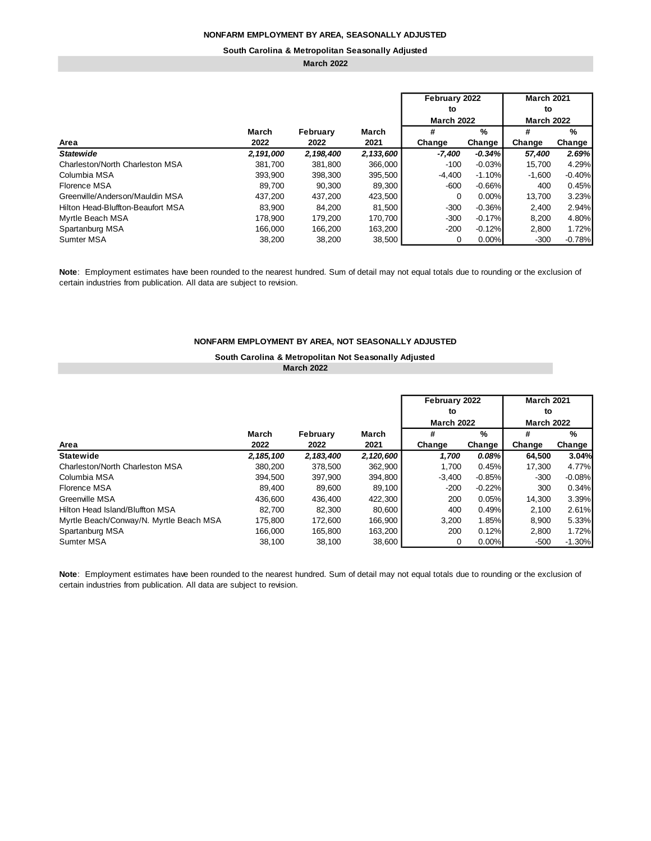#### **South Carolina & Metropolitan Seasonally Adjusted**

### **March 2022**

|                                   |           |           |           | February 2022     |               | <b>March 2021</b> |          |  |
|-----------------------------------|-----------|-----------|-----------|-------------------|---------------|-------------------|----------|--|
|                                   |           |           |           | to                |               | to                |          |  |
|                                   |           |           |           | <b>March 2022</b> |               | <b>March 2022</b> |          |  |
|                                   | March     | February  | March     | #                 | $\frac{9}{6}$ | #                 | %        |  |
| Area                              | 2022      | 2022      | 2021      | Change            | Change        |                   | Change   |  |
| <b>Statewide</b>                  | 2,191,000 | 2,198,400 | 2,133,600 | -7,400            | $-0.34%$      | 57,400            | 2.69%    |  |
| Charleston/North Charleston MSA   | 381,700   | 381.800   | 366,000   | $-100$            | $-0.03%$      | 15.700            | 4.29%    |  |
| Columbia MSA                      | 393,900   | 398,300   | 395,500   | $-4,400$          | $-1.10%$      | $-1,600$          | $-0.40%$ |  |
| Florence MSA                      | 89.700    | 90.300    | 89,300    | $-600$            | $-0.66%$      | 400               | 0.45%    |  |
| Greenville/Anderson/Mauldin MSA   | 437.200   | 437.200   | 423,500   | $\Omega$          | 0.00%         | 13,700            | 3.23%    |  |
| Hilton Head-Bluffton-Beaufort MSA | 83,900    | 84,200    | 81,500    | $-300$            | $-0.36%$      | 2,400             | 2.94%    |  |
| Myrtle Beach MSA                  | 178,900   | 179.200   | 170.700   | $-300$            | $-0.17%$      | 8,200             | 4.80%    |  |
| Spartanburg MSA                   | 166,000   | 166,200   | 163,200   | $-200$            | $-0.12%$      | 2,800             | 1.72%    |  |
| <b>Sumter MSA</b>                 | 38.200    | 38.200    | 38,500    | 0                 | 0.00%         | $-300$            | $-0.78%$ |  |

**Note**: Employment estimates have been rounded to the nearest hundred. Sum of detail may not equal totals due to rounding or the exclusion of certain industries from publication. All data are subject to revision.

### **NONFARM EMPLOYMENT BY AREA, NOT SEASONALLY ADJUSTED**

### **South Carolina & Metropolitan Not Seasonally Adjusted March 2022**

|                                         |               |                  |               | February 2022<br>to<br><b>March 2022</b> |                 | <b>March 2021</b><br>to<br><b>March 2022</b> |                 |  |
|-----------------------------------------|---------------|------------------|---------------|------------------------------------------|-----------------|----------------------------------------------|-----------------|--|
| Area                                    | March<br>2022 | February<br>2022 | March<br>2021 | #                                        | $\frac{9}{6}$   | #                                            | $\%$            |  |
| <b>Statewide</b>                        | 2, 185, 100   | 2, 183, 400      | 2,120,600     | Change<br>1,700                          | Change<br>0.08% | Change<br>64.500                             | Change<br>3.04% |  |
| Charleston/North Charleston MSA         | 380.200       | 378.500          | 362.900       | 1.700                                    | 0.45%           | 17.300                                       | 4.77%           |  |
| Columbia MSA                            | 394.500       | 397,900          | 394,800       | $-3,400$                                 | $-0.85%$        | $-300$                                       | $-0.08%$        |  |
| Florence MSA                            | 89,400        | 89,600           | 89,100        | $-200$                                   | $-0.22%$        | 300                                          | 0.34%           |  |
| Greenville MSA                          | 436,600       | 436.400          | 422,300       | 200                                      | 0.05%           | 14.300                                       | 3.39%           |  |
| Hilton Head Island/Bluffton MSA         | 82.700        | 82.300           | 80.600        | 400                                      | 0.49%           | 2.100                                        | 2.61%           |  |
| Myrtle Beach/Conway/N. Myrtle Beach MSA | 175,800       | 172,600          | 166.900       | 3,200                                    | 1.85%           | 8,900                                        | 5.33%           |  |
| Spartanburg MSA                         | 166,000       | 165,800          | 163,200       | 200                                      | 0.12%           | 2,800                                        | 1.72%           |  |
| Sumter MSA                              | 38,100        | 38,100           | 38,600        | 0                                        | 0.00%           | $-500$                                       | $-1.30%$        |  |

**Note**: Employment estimates have been rounded to the nearest hundred. Sum of detail may not equal totals due to rounding or the exclusion of certain industries from publication. All data are subject to revision.